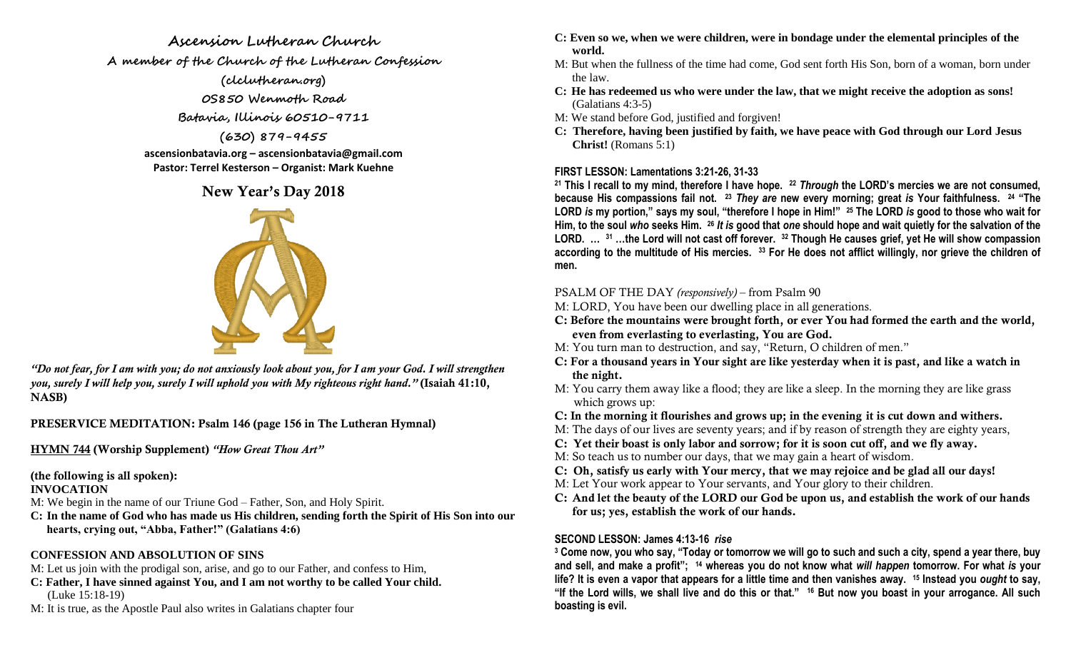#### **Ascension Lutheran Church**

**A member of the Church of the Lutheran Confession**

**(clclutheran.org) 0S850 Wenmoth Road**

**Batavia, Illinois 60510-9711**

**(630) 879-9455**

**ascensionbatavia.org – ascensionbatavia@gmail.com Pastor: Terrel Kesterson – Organist: Mark Kuehne**

# **New Year's Day 2018**



*"Do not fear, for I am with you; do not anxiously look about you, for I am your God. I will strengthen you, surely I will help you, surely I will uphold you with My righteous right hand."* **(Isaiah 41:10, NASB)**

**PRESERVICE MEDITATION: Psalm 146 (page 156 in The Lutheran Hymnal)**

**HYMN 744 (Worship Supplement)** *"How Great Thou Art"*

# **(the following is all spoken):**

### **INVOCATION**

M: We begin in the name of our Triune God – Father, Son, and Holy Spirit.

**C: In the name of God who has made us His children, sending forth the Spirit of His Son into our hearts, crying out, "Abba, Father!" (Galatians 4:6)**

# **CONFESSION AND ABSOLUTION OF SINS**

M: Let us join with the prodigal son, arise, and go to our Father, and confess to Him,

- **C: Father, I have sinned against You, and I am not worthy to be called Your child.** (Luke 15:18-19)
- M: It is true, as the Apostle Paul also writes in Galatians chapter four
- **C: Even so we, when we were children, were in bondage under the elemental principles of the world.**
- M: But when the fullness of the time had come, God sent forth His Son, born of a woman, born under the law.
- **C: He has redeemed us who were under the law, that we might receive the adoption as sons!** (Galatians 4:3-5)
- M: We stand before God, justified and forgiven!
- **C: Therefore, having been justified by faith, we have peace with God through our Lord Jesus Christ!** (Romans 5:1)

## **FIRST LESSON: Lamentations 3:21-26, 31-33**

**<sup>21</sup> This I recall to my mind, therefore I have hope. <sup>22</sup>** *Through* **the LORD's mercies we are not consumed, because His compassions fail not. <sup>23</sup>** *They are* **new every morning; great** *is* **Your faithfulness. <sup>24</sup> "The LORD** *is* **my portion," says my soul, "therefore I hope in Him!" <sup>25</sup> The LORD** *is* **good to those who wait for Him, to the soul** *who* **seeks Him. <sup>26</sup>** *It is* **good that** *one* **should hope and wait quietly for the salvation of the LORD. … <sup>31</sup> …the Lord will not cast off forever. <sup>32</sup> Though He causes grief, yet He will show compassion according to the multitude of His mercies. <sup>33</sup> For He does not afflict willingly, nor grieve the children of men.**

# PSALM OF THE DAY *(responsively)* – from Psalm 90

- M: LORD, You have been our dwelling place in all generations.
- **C: Before the mountains were brought forth, or ever You had formed the earth and the world, even from everlasting to everlasting, You are God.**
- M: You turn man to destruction, and say, "Return, O children of men."
- **C: For a thousand years in Your sight are like yesterday when it is past, and like a watch in the night.**
- M: You carry them away like a flood; they are like a sleep. In the morning they are like grass which grows up:
- **C: In the morning it flourishes and grows up; in the evening it is cut down and withers.**
- M: The days of our lives are seventy years; and if by reason of strength they are eighty years,
- **C: Yet their boast is only labor and sorrow; for it is soon cut off, and we fly away.**
- M: So teach us to number our days, that we may gain a heart of wisdom.
- **C: Oh, satisfy us early with Your mercy, that we may rejoice and be glad all our days!**
- M: Let Your work appear to Your servants, and Your glory to their children.
- **C: And let the beauty of the LORD our God be upon us, and establish the work of our hands for us; yes, establish the work of our hands.**

# **SECOND LESSON: James 4:13-16** *rise*

**<sup>3</sup> Come now, you who say, "Today or tomorrow we will go to such and such a city, spend a year there, buy and sell, and make a profit"; <sup>14</sup> whereas you do not know what** *will happen* **tomorrow. For what** *is* **your life? It is even a vapor that appears for a little time and then vanishes away. <sup>15</sup> Instead you** *ought* **to say, "If the Lord wills, we shall live and do this or that." <sup>16</sup> But now you boast in your arrogance. All such boasting is evil.**